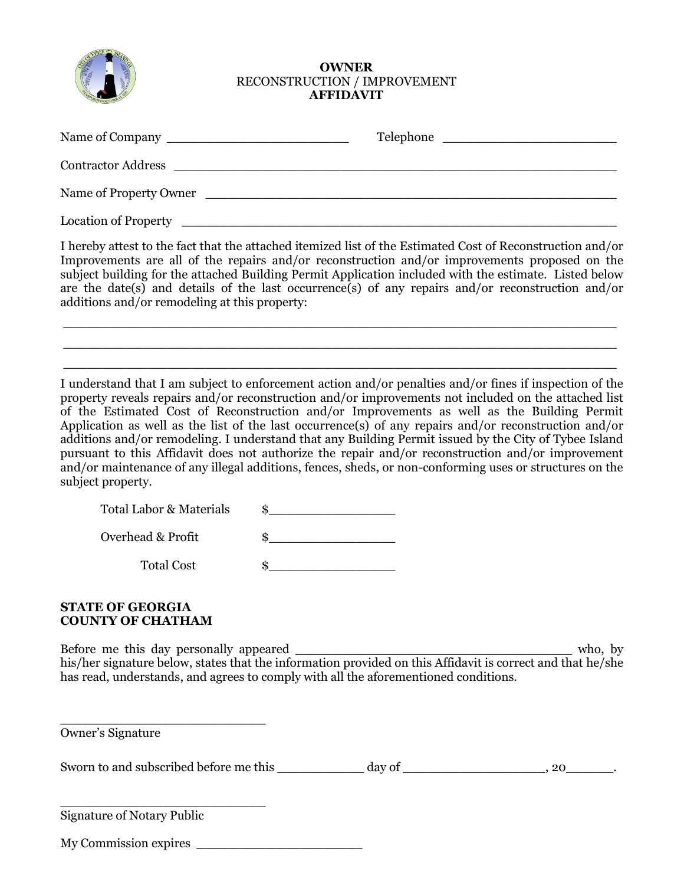

#### **OWNER** RECONSTRUCTION / IMPROVEMENT **AFFIDAVIT**

|                             | Telephone |
|-----------------------------|-----------|
| <b>Contractor Address</b>   |           |
| Name of Property Owner      |           |
| <b>Location of Property</b> |           |

I hereby attest to the fact that the attached itemized list of the Estimated Cost of Reconstruction and/or Improvements are all of the repairs and/or reconstruction and/or improvements proposed on the subject building for the attached Building Permit Application included with the estimate. Listed below are the date(s) and details of the last occurrence(s) of any repairs and/or reconstruction and/or additions and/or remodeling at this property:

 $\_$  , and the set of the set of the set of the set of the set of the set of the set of the set of the set of the set of the set of the set of the set of the set of the set of the set of the set of the set of the set of th  $\_$  , and the set of the set of the set of the set of the set of the set of the set of the set of the set of the set of the set of the set of the set of the set of the set of the set of the set of the set of the set of th  $\_$  , and the set of the set of the set of the set of the set of the set of the set of the set of the set of the set of the set of the set of the set of the set of the set of the set of the set of the set of the set of th

I understand that I am subject to enforcement action and/or penalties and/or fines if inspection of the property reveals repairs and/or reconstruction and/or improvements not included on the attached list of the Estimated Cost of Reconstruction and/or Improvements as well as the Building Permit Application as well as the list of the last occurrence(s) of any repairs and/or reconstruction and/or additions and/or remodeling. I understand that any Building Permit issued by the City of Tybee Island pursuant to this Affidavit does not authorize the repair and/or reconstruction and/or improvement and/or maintenance of any illegal additions, fences, sheds, or non-conforming uses or structures on the subject property.

| Total Labor & Materials |  |
|-------------------------|--|
| Overhead & Profit       |  |
| <b>Total Cost</b>       |  |

#### **STATE OF GEORGIA COUNTY OF CHATHAM**

\_\_\_\_\_\_\_\_\_\_\_\_\_\_\_\_\_\_\_\_\_\_\_\_\_\_

\_\_\_\_\_\_\_\_\_\_\_\_\_\_\_\_\_\_\_\_\_\_\_\_\_\_

Before me this day personally appeared \_\_\_\_\_\_\_\_\_\_\_\_\_\_\_\_\_\_\_\_\_\_\_\_\_\_\_\_\_\_\_\_\_\_\_ who, by his/her signature below, states that the information provided on this Affidavit is correct and that he/she has read, understands, and agrees to comply with all the aforementioned conditions.

Owner's Signature

Sworn to and subscribed before me this \_\_\_\_\_\_\_\_\_\_\_\_ day of \_\_\_\_\_\_\_\_\_\_\_\_\_\_\_\_\_\_\_\_, 20\_\_\_\_\_\_\_\_.

Signature of Notary Public

My Commission expires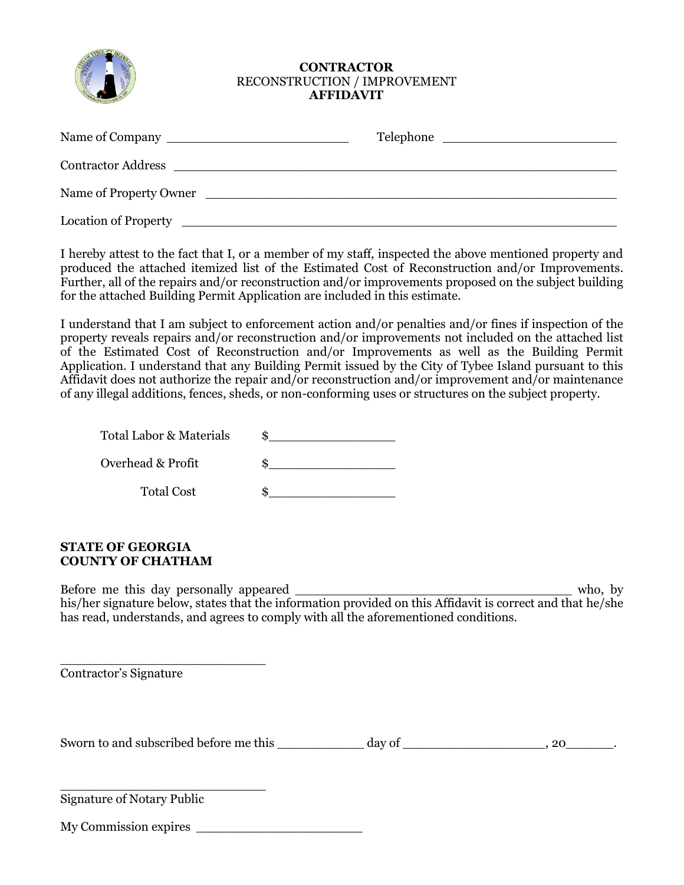

## **CONTRACTOR** RECONSTRUCTION / IMPROVEMENT **AFFIDAVIT**

|                                                                                      | Telephone |
|--------------------------------------------------------------------------------------|-----------|
| <b>Contractor Address</b><br><u> 1989 - Johann Stein, fransk politiker (d. 1989)</u> |           |
|                                                                                      |           |
| <b>Location of Property</b>                                                          |           |

I hereby attest to the fact that I, or a member of my staff, inspected the above mentioned property and produced the attached itemized list of the Estimated Cost of Reconstruction and/or Improvements. Further, all of the repairs and/or reconstruction and/or improvements proposed on the subject building for the attached Building Permit Application are included in this estimate.

I understand that I am subject to enforcement action and/or penalties and/or fines if inspection of the property reveals repairs and/or reconstruction and/or improvements not included on the attached list of the Estimated Cost of Reconstruction and/or Improvements as well as the Building Permit Application. I understand that any Building Permit issued by the City of Tybee Island pursuant to this Affidavit does not authorize the repair and/or reconstruction and/or improvement and/or maintenance of any illegal additions, fences, sheds, or non-conforming uses or structures on the subject property.

| Total Labor & Materials |  |
|-------------------------|--|
| Overhead & Profit       |  |
| <b>Total Cost</b>       |  |

## **STATE OF GEORGIA COUNTY OF CHATHAM**

Before me this day personally appeared \_\_\_\_\_\_\_\_\_\_\_\_\_\_\_\_\_\_\_\_\_\_\_\_\_\_\_\_\_\_\_\_\_\_\_ who, by his/her signature below, states that the information provided on this Affidavit is correct and that he/she has read, understands, and agrees to comply with all the aforementioned conditions.

Contractor's Signature

\_\_\_\_\_\_\_\_\_\_\_\_\_\_\_\_\_\_\_\_\_\_\_\_\_\_

Sworn to and subscribed before me this \_\_\_\_\_\_\_\_\_\_\_ day of \_\_\_\_\_\_\_\_\_\_\_\_\_\_\_\_\_\_, 20\_\_\_\_\_\_.

\_\_\_\_\_\_\_\_\_\_\_\_\_\_\_\_\_\_\_\_\_\_\_\_\_\_ Signature of Notary Public

My Commission expires \_\_\_\_\_\_\_\_\_\_\_\_\_\_\_\_\_\_\_\_\_